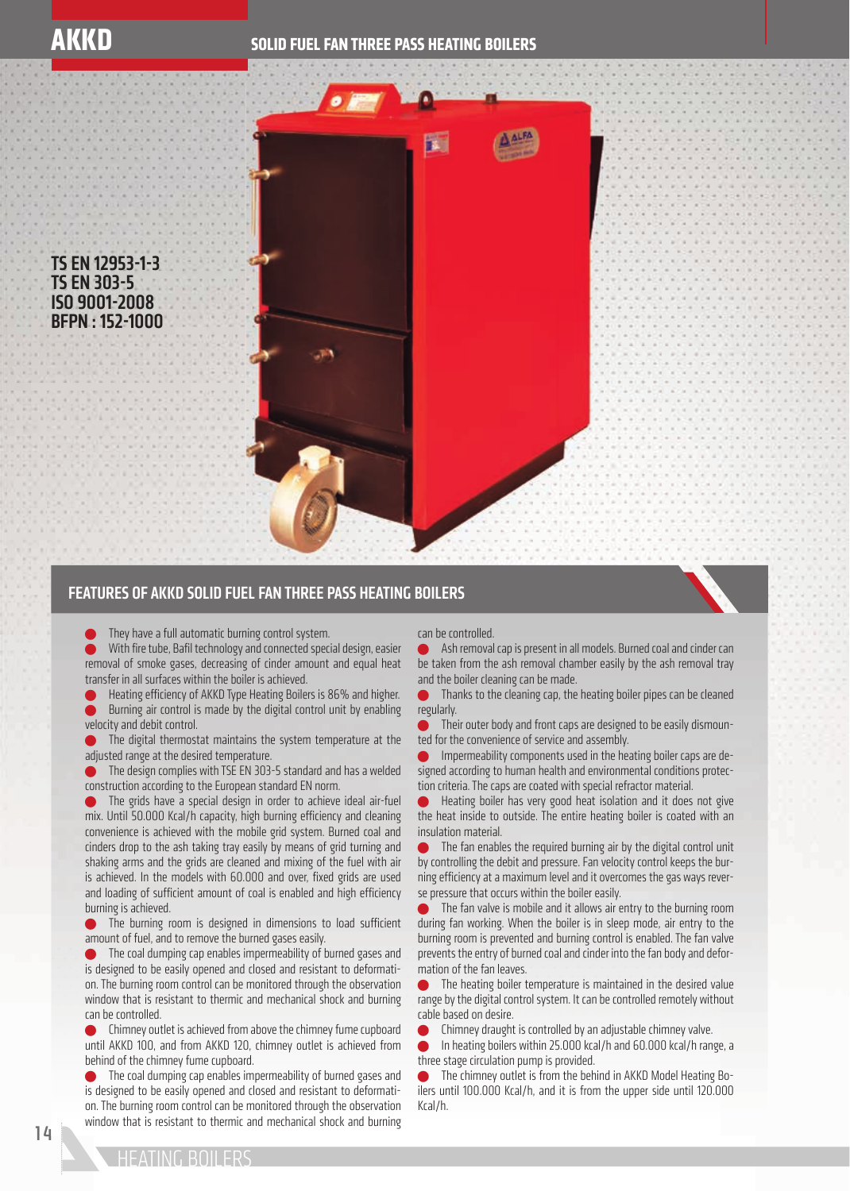TS EN 12953-1-3 TS EN 303-5 ISO 9001-2008 BFPN : 152-1000



## FEATURES OF AKKD SOLID FUEL FAN THREE PASS HEATING BOILERS



With fire tube, Bafil technology and connected special design, easier removal of smoke gases, decreasing of cinder amount and equal heat transfer in all surfaces within the boiler is achieved.

Heating efficiency of AKKD Type Heating Boilers is 86% and higher. Burning air control is made by the digital control unit by enabling velocity and debit control.

 The digital thermostat maintains the system temperature at the adjusted range at the desired temperature.

 The design complies with TSE EN 303-5 standard and has a welded construction according to the European standard EN norm.

 The grids have a special design in order to achieve ideal air-fuel mix. Until 50.000 Kcal/h capacity, high burning efficiency and cleaning convenience is achieved with the mobile grid system. Burned coal and cinders drop to the ash taking tray easily by means of grid turning and shaking arms and the grids are cleaned and mixing of the fuel with air is achieved. In the models with 60.000 and over, fixed grids are used and loading of sufficient amount of coal is enabled and high efficiency burning is achieved.

The burning room is designed in dimensions to load sufficient amount of fuel, and to remove the burned gases easily.

**The coal dumping cap enables impermeability of burned gases and** is designed to be easily opened and closed and resistant to deformation. The burning room control can be monitored through the observation window that is resistant to thermic and mechanical shock and burning can be controlled.

 Chimney outlet is achieved from above the chimney fume cupboard until AKKD 100, and from AKKD 120, chimney outlet is achieved from behind of the chimney fume cupboard.

 The coal dumping cap enables impermeability of burned gases and is designed to be easily opened and closed and resistant to deformation. The burning room control can be monitored through the observation window that is resistant to thermic and mechanical shock and burning

## can be controlled.

 Ash removal cap is present in all models. Burned coal and cinder can be taken from the ash removal chamber easily by the ash removal tray and the boiler cleaning can be made.

**Thanks to the cleaning cap, the heating boiler pipes can be cleaned** regularly.

 Their outer body and front caps are designed to be easily dismounted for the convenience of service and assembly.

 Impermeability components used in the heating boiler caps are designed according to human health and environmental conditions protection criteria. The caps are coated with special refractor material.

 Heating boiler has very good heat isolation and it does not give the heat inside to outside. The entire heating boiler is coated with an insulation material.

 The fan enables the required burning air by the digital control unit by controlling the debit and pressure. Fan velocity control keeps the burning efficiency at a maximum level and it overcomes the gas ways reverse pressure that occurs within the boiler easily.

The fan valve is mobile and it allows air entry to the burning room during fan working. When the boiler is in sleep mode, air entry to the burning room is prevented and burning control is enabled. The fan valve prevents the entry of burned coal and cinder into the fan body and deformation of the fan leaves.

**The heating boiler temperature is maintained in the desired value** range by the digital control system. It can be controlled remotely without cable based on desire.

Chimney draught is controlled by an adjustable chimney valve.

 In heating boilers within 25.000 kcal/h and 60.000 kcal/h range, a three stage circulation pump is provided.

 The chimney outlet is from the behind in AKKD Model Heating Boilers until 100.000 Kcal/h, and it is from the upper side until 120.000 Kcal/h.